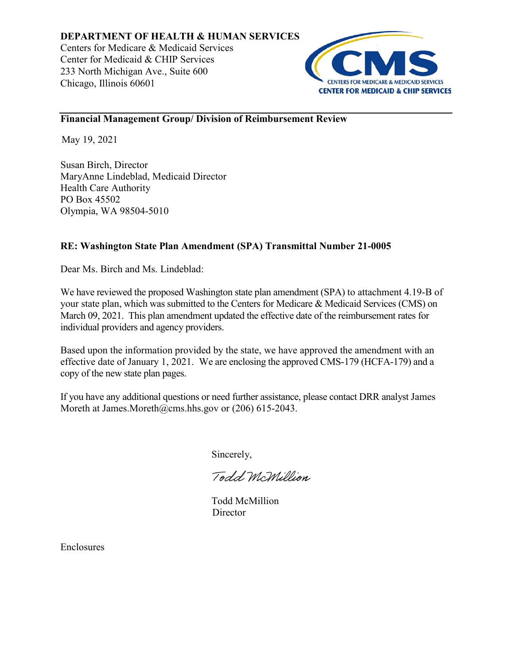

## **Financial Management Group/ Division of Reimbursement Review**

May 19, 2021

Susan Birch, Director MaryAnne Lindeblad, Medicaid Director Health Care Authority PO Box 45502 Olympia, WA 98504-5010

## **RE: Washington State Plan Amendment (SPA) Transmittal Number 21-0005**

Dear Ms. Birch and Ms. Lindeblad:

We have reviewed the proposed Washington state plan amendment (SPA) to attachment 4.19-B of your state plan, which was submitted to the Centers for Medicare & Medicaid Services (CMS) on March 09, 2021. This plan amendment updated the effective date of the reimbursement rates for individual providers and agency providers.

Based upon the information provided by the state, we have approved the amendment with an effective date of January 1, 2021. We are enclosing the approved CMS-179 (HCFA-179) and a copy of the new state plan pages.

If you have any additional questions or need further assistance, please contact DRR analyst James Moreth at James.Moreth@cms.hhs.gov or (206) 615-2043.

Sincerely,

Todd McMillion

Todd McMillion **Director** 

Enclosures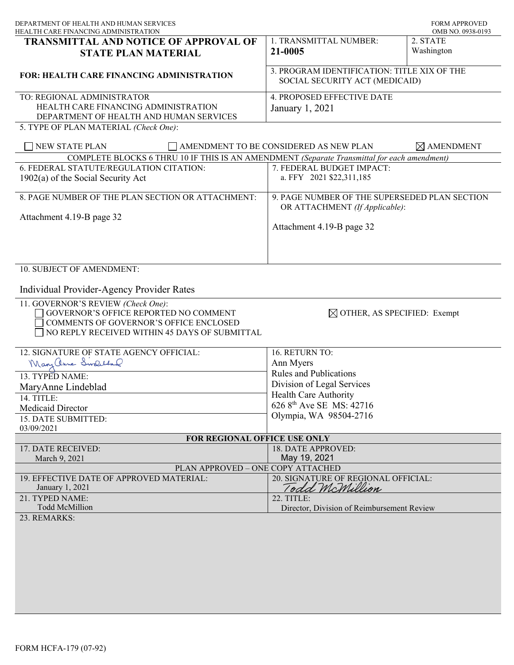| DEPARTMENT OF HEALTH AND HUMAN SERVICES<br>HEALTH CARE FINANCING ADMINISTRATION                                                                                                                 |                                                                                 | <b>FORM APPROVED</b><br>OMB NO. 0938-0193 |
|-------------------------------------------------------------------------------------------------------------------------------------------------------------------------------------------------|---------------------------------------------------------------------------------|-------------------------------------------|
| <b>TRANSMITTAL AND NOTICE OF APPROVAL OF</b><br><b>STATE PLAN MATERIAL</b>                                                                                                                      | 1. TRANSMITTAL NUMBER:<br>21-0005                                               | 2. STATE<br>Washington                    |
| <b>FOR: HEALTH CARE FINANCING ADMINISTRATION</b>                                                                                                                                                | 3. PROGRAM IDENTIFICATION: TITLE XIX OF THE<br>SOCIAL SECURITY ACT (MEDICAID)   |                                           |
| TO: REGIONAL ADMINISTRATOR<br>HEALTH CARE FINANCING ADMINISTRATION<br>DEPARTMENT OF HEALTH AND HUMAN SERVICES<br>5. TYPE OF PLAN MATERIAL (Check One):                                          | 4. PROPOSED EFFECTIVE DATE<br>January 1, 2021                                   |                                           |
| <b>NEW STATE PLAN</b>                                                                                                                                                                           | AMENDMENT TO BE CONSIDERED AS NEW PLAN                                          | $\times$ AMENDMENT                        |
| COMPLETE BLOCKS 6 THRU 10 IF THIS IS AN AMENDMENT (Separate Transmittal for each amendment)                                                                                                     |                                                                                 |                                           |
| 6. FEDERAL STATUTE/REGULATION CITATION:<br>$1902(a)$ of the Social Security Act                                                                                                                 | 7. FEDERAL BUDGET IMPACT:<br>a. FFY 2021 \$22,311,185                           |                                           |
| 8. PAGE NUMBER OF THE PLAN SECTION OR ATTACHMENT:                                                                                                                                               | 9. PAGE NUMBER OF THE SUPERSEDED PLAN SECTION<br>OR ATTACHMENT (If Applicable): |                                           |
| Attachment 4.19-B page 32                                                                                                                                                                       | Attachment 4.19-B page 32                                                       |                                           |
| 10. SUBJECT OF AMENDMENT:<br>Individual Provider-Agency Provider Rates<br>11. GOVERNOR'S REVIEW (Check One):<br>GOVERNOR'S OFFICE REPORTED NO COMMENT<br>COMMENTS OF GOVERNOR'S OFFICE ENCLOSED | $\boxtimes$ OTHER, AS SPECIFIED: Exempt                                         |                                           |
| NO REPLY RECEIVED WITHIN 45 DAYS OF SUBMITTAL<br>12. SIGNATURE OF STATE AGENCY OFFICIAL:                                                                                                        | 16. RETURN TO:                                                                  |                                           |
| Mary anne Swelland                                                                                                                                                                              | Ann Myers                                                                       |                                           |
| 13. TYPED NAME:                                                                                                                                                                                 | <b>Rules and Publications</b>                                                   |                                           |
| MaryAnne Lindeblad                                                                                                                                                                              | Division of Legal Services                                                      |                                           |
| 14. TITLE:                                                                                                                                                                                      | Health Care Authority                                                           |                                           |
| Medicaid Director                                                                                                                                                                               | 626 8 <sup>th</sup> Ave SE MS: 42716                                            |                                           |
| 15. DATE SUBMITTED:                                                                                                                                                                             | Olympia, WA 98504-2716                                                          |                                           |
| 03/09/2021                                                                                                                                                                                      |                                                                                 |                                           |
| FOR REGIONAL OFFICE USE ONLY                                                                                                                                                                    |                                                                                 |                                           |
| 17. DATE RECEIVED:<br>March 9, 2021                                                                                                                                                             | 18. DATE APPROVED:<br>May 19, 2021                                              |                                           |
| PLAN APPROVED - ONE COPY ATTACHED                                                                                                                                                               |                                                                                 |                                           |
| 19. EFFECTIVE DATE OF APPROVED MATERIAL:<br>January 1, 2021                                                                                                                                     | 20. SIGNATURE OF REGIONAL OFFICIAL:<br>Todd McMillion                           |                                           |
| 21. TYPED NAME:<br><b>Todd McMillion</b>                                                                                                                                                        | 22. TITLE:<br>Director, Division of Reimbursement Review                        |                                           |
| 23. REMARKS:                                                                                                                                                                                    |                                                                                 |                                           |
|                                                                                                                                                                                                 |                                                                                 |                                           |